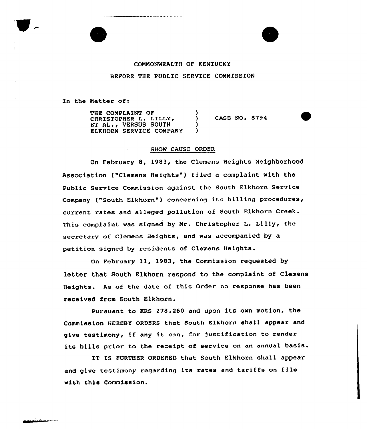## COMNONWEALTH OF KENTUCKY

## BEFORE THE PUBLIC SERVICE CONMISSION

In the Natter of:

THE COMPLAINT OF CHRISTOPHER L. LILLY, ET AL., VERSUS SOUTH ELKHORN SERVICE COMPANY  $\frac{1}{2}$  $CASE NO. 8794$ )  $\lambda$ 

## SHOW CAUSE ORDER

On February 8, 1983, the Clemens Heights Neighborhood Association ("Clemens Heights") filed a complaint with the Public Service Commission against the South Elkhorn Service Company ("South Elkhorn") concerning its billing procedures, current rates and alleged pollution of South Elkhorn Creek. This complaint was signed by Mr. Christopher L. Lilly, the secretary of clemens Heights, and was accompanied by a petition signed by residents of Clemens Heights.

On February ll, 1983, the Commission requested by letter that South Elkhorn respond to the complaint of Clemens Heights. As of the date of this Order no response has been received from South Elkhorn.

Pursuant to KRS 278.260 and upon its own motion, the Commission HEREBY ORDERS that South Elkhorn shall appear and give testimony, if any it can, for justification to render its bills prior to the receipt of service on an annual basis.

IT IS FURTHER ORDERED that South Elkhorn shall appear and give testimony regarding its rates and tariffs on file with this Commission.